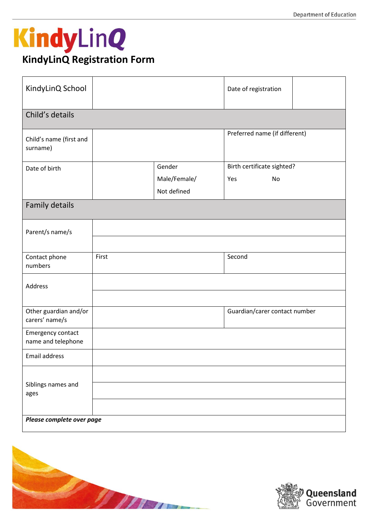## KindyLinQ **KindyLinQ Registration Form**

| KindyLinQ School                        |       |              | Date of registration          |  |  |  |  |  |
|-----------------------------------------|-------|--------------|-------------------------------|--|--|--|--|--|
| Child's details                         |       |              |                               |  |  |  |  |  |
| Child's name (first and<br>surname)     |       |              | Preferred name (if different) |  |  |  |  |  |
| Date of birth                           |       | Gender       | Birth certificate sighted?    |  |  |  |  |  |
|                                         |       | Male/Female/ | Yes<br>No                     |  |  |  |  |  |
|                                         |       | Not defined  |                               |  |  |  |  |  |
| Family details                          |       |              |                               |  |  |  |  |  |
| Parent/s name/s                         |       |              |                               |  |  |  |  |  |
|                                         |       |              |                               |  |  |  |  |  |
| Contact phone<br>numbers                | First |              | Second                        |  |  |  |  |  |
| Address                                 |       |              |                               |  |  |  |  |  |
| Other guardian and/or<br>carers' name/s |       |              | Guardian/carer contact number |  |  |  |  |  |
| Emergency contact<br>name and telephone |       |              |                               |  |  |  |  |  |
| Email address                           |       |              |                               |  |  |  |  |  |
|                                         |       |              |                               |  |  |  |  |  |
| Siblings names and                      |       |              |                               |  |  |  |  |  |
| ages                                    |       |              |                               |  |  |  |  |  |
| Please complete over page               |       |              |                               |  |  |  |  |  |